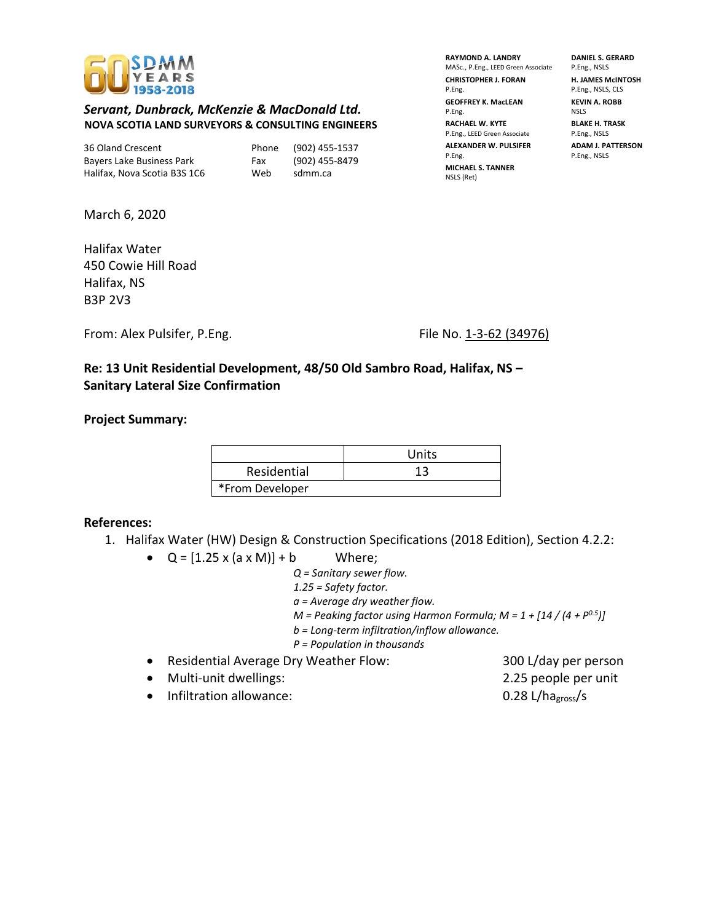

## *Servant, Dunbrack, McKenzie & MacDonald Ltd.* **NOVA SCOTIA LAND SURVEYORS & CONSULTING ENGINEERS**

36 Oland Crescent Phone (902) 455-1537 Bayers Lake Business Park Fax (902) 455-8479 Halifax, Nova Scotia B3S 1C6 Web sdmm.ca

**RAYMOND A. LANDRY DANIEL S. GERARD**  MASc., P.Eng., LEED Green Associate P.Eng., NSLS **CHRISTOPHER J. FORAN H. JAMES McINTOSH**<br>P.Eng. P.Eng. NSLS, CLS **GEOFFREY K. MacLEAN KEVIN A. ROBB** P.Eng. NSLS **RACHAEL W. KYTE BLAKE H. TRASK** P.Eng., LEED Green Associate P.Eng., NSLS **ALEXANDER W. PULSIFER ADAM J. PATTERSON** P.Eng. P.Eng., NSLS **MICHAEL S. TANNER** NSLS (Ret)

P.Eng., NSLS, CLS

March 6, 2020

Halifax Water 450 Cowie Hill Road Halifax, NS B3P 2V3

From: Alex Pulsifer, P.Eng. File No. 1-3-62 (34976)

**Re: 13 Unit Residential Development, 48/50 Old Sambro Road, Halifax, NS – Sanitary Lateral Size Confirmation**

**Project Summary:**

|                 | Units |
|-----------------|-------|
| Residential     | 13    |
| *From Developer |       |

## **References:**

- 1. Halifax Water (HW) Design & Construction Specifications (2018 Edition), Section 4.2.2:
	- $Q = [1.25 \times (a \times M)] + b$  Where;

*Q = Sanitary sewer flow. 1.25 = Safety factor. a = Average dry weather flow. M = Peaking factor using Harmon Formula; M = 1 + [14 / (4 + P0.5)] b = Long-term infiltration/inflow allowance.*

- *P = Population in thousands*
- Residential Average Dry Weather Flow: 300 L/day per person
- Multi-unit dwellings: 2.25 people per unit
- Infiltration allowance: 0.28 L/hagross/s